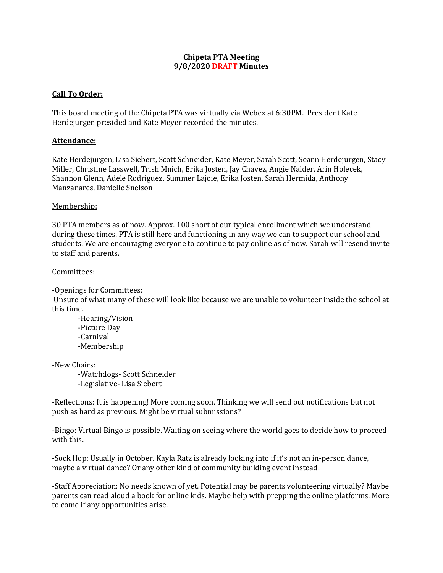## **Chipeta PTA Meeting 9/8/2020 DRAFT Minutes**

# **Call To Order:**

This board meeting of the Chipeta PTA was virtually via Webex at 6:30PM. President Kate Herdejurgen presided and Kate Meyer recorded the minutes.

## **Attendance:**

Kate Herdejurgen, Lisa Siebert, Scott Schneider, Kate Meyer, Sarah Scott, Seann Herdejurgen, Stacy Miller, Christine Lasswell, Trish Mnich, Erika Josten, Jay Chavez, Angie Nalder, Arin Holecek, Shannon Glenn, Adele Rodriguez, Summer Lajoie, Erika Josten, Sarah Hermida, Anthony Manzanares, Danielle Snelson

## Membership:

30 PTA members as of now. Approx. 100 short of our typical enrollment which we understand during these times. PTA is still here and functioning in any way we can to support our school and students. We are encouraging everyone to continue to pay online as of now. Sarah will resend invite to staff and parents.

## Committees:

-Openings for Committees:

Unsure of what many of these will look like because we are unable to volunteer inside the school at this time.

-Hearing/Vision -Picture Day -Carnival -Membership

-New Chairs:

-Watchdogs- Scott Schneider -Legislative- Lisa Siebert

-Reflections: It is happening! More coming soon. Thinking we will send out notifications but not push as hard as previous. Might be virtual submissions?

-Bingo: Virtual Bingo is possible. Waiting on seeing where the world goes to decide how to proceed with this.

-Sock Hop: Usually in October. Kayla Ratz is already looking into if it's not an in-person dance, maybe a virtual dance? Or any other kind of community building event instead!

-Staff Appreciation: No needs known of yet. Potential may be parents volunteering virtually? Maybe parents can read aloud a book for online kids. Maybe help with prepping the online platforms. More to come if any opportunities arise.